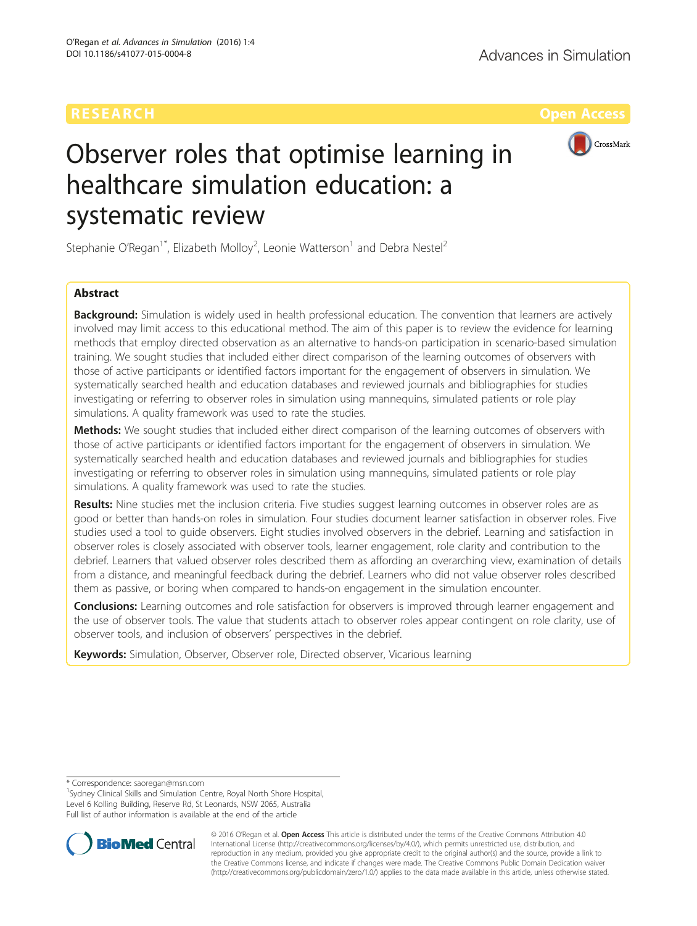

# Observer roles that optimise learning in healthcare simulation education: a systematic review

Stephanie O'Regan<sup>1\*</sup>, Elizabeth Molloy<sup>2</sup>, Leonie Watterson<sup>1</sup> and Debra Nestel<sup>2</sup>

# Abstract

**Background:** Simulation is widely used in health professional education. The convention that learners are actively involved may limit access to this educational method. The aim of this paper is to review the evidence for learning methods that employ directed observation as an alternative to hands-on participation in scenario-based simulation training. We sought studies that included either direct comparison of the learning outcomes of observers with those of active participants or identified factors important for the engagement of observers in simulation. We systematically searched health and education databases and reviewed journals and bibliographies for studies investigating or referring to observer roles in simulation using mannequins, simulated patients or role play simulations. A quality framework was used to rate the studies.

Methods: We sought studies that included either direct comparison of the learning outcomes of observers with those of active participants or identified factors important for the engagement of observers in simulation. We systematically searched health and education databases and reviewed journals and bibliographies for studies investigating or referring to observer roles in simulation using mannequins, simulated patients or role play simulations. A quality framework was used to rate the studies.

Results: Nine studies met the inclusion criteria. Five studies suggest learning outcomes in observer roles are as good or better than hands-on roles in simulation. Four studies document learner satisfaction in observer roles. Five studies used a tool to guide observers. Eight studies involved observers in the debrief. Learning and satisfaction in observer roles is closely associated with observer tools, learner engagement, role clarity and contribution to the debrief. Learners that valued observer roles described them as affording an overarching view, examination of details from a distance, and meaningful feedback during the debrief. Learners who did not value observer roles described them as passive, or boring when compared to hands-on engagement in the simulation encounter.

**Conclusions:** Learning outcomes and role satisfaction for observers is improved through learner engagement and the use of observer tools. The value that students attach to observer roles appear contingent on role clarity, use of observer tools, and inclusion of observers' perspectives in the debrief.

Keywords: Simulation, Observer, Observer role, Directed observer, Vicarious learning

\* Correspondence: [saoregan@msn.com](mailto:saoregan@msn.com) <sup>1</sup>

<sup>1</sup>Sydney Clinical Skills and Simulation Centre, Royal North Shore Hospital, Level 6 Kolling Building, Reserve Rd, St Leonards, NSW 2065, Australia Full list of author information is available at the end of the article



© 2016 O'Regan et al. **Open Access** This article is distributed under the terms of the Creative Commons Attribution 4.0 International License [\(http://creativecommons.org/licenses/by/4.0/](http://creativecommons.org/licenses/by/4.0/)), which permits unrestricted use, distribution, and reproduction in any medium, provided you give appropriate credit to the original author(s) and the source, provide a link to the Creative Commons license, and indicate if changes were made. The Creative Commons Public Domain Dedication waiver [\(http://creativecommons.org/publicdomain/zero/1.0/](http://creativecommons.org/publicdomain/zero/1.0/)) applies to the data made available in this article, unless otherwise stated.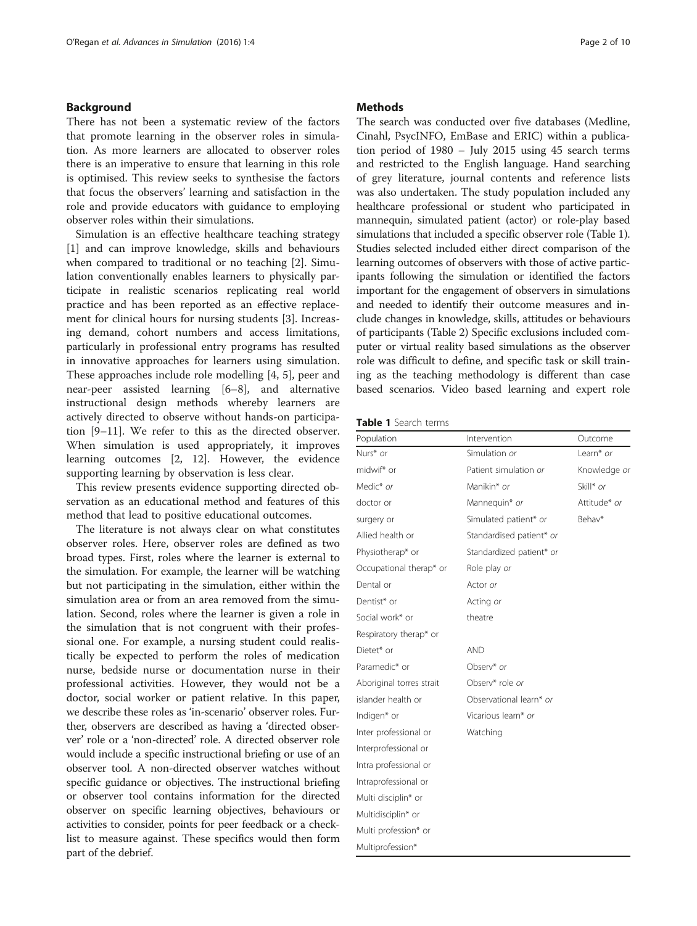### Background

There has not been a systematic review of the factors that promote learning in the observer roles in simulation. As more learners are allocated to observer roles there is an imperative to ensure that learning in this role is optimised. This review seeks to synthesise the factors that focus the observers' learning and satisfaction in the role and provide educators with guidance to employing observer roles within their simulations.

Simulation is an effective healthcare teaching strategy [[1\]](#page-8-0) and can improve knowledge, skills and behaviours when compared to traditional or no teaching [\[2\]](#page-8-0). Simulation conventionally enables learners to physically participate in realistic scenarios replicating real world practice and has been reported as an effective replacement for clinical hours for nursing students [[3\]](#page-8-0). Increasing demand, cohort numbers and access limitations, particularly in professional entry programs has resulted in innovative approaches for learners using simulation. These approaches include role modelling [\[4](#page-8-0), [5](#page-8-0)], peer and near-peer assisted learning [\[6](#page-8-0)–[8](#page-8-0)], and alternative instructional design methods whereby learners are actively directed to observe without hands-on participation [[9](#page-8-0)–[11](#page-8-0)]. We refer to this as the directed observer. When simulation is used appropriately, it improves learning outcomes [[2, 12](#page-8-0)]. However, the evidence supporting learning by observation is less clear.

This review presents evidence supporting directed observation as an educational method and features of this method that lead to positive educational outcomes.

The literature is not always clear on what constitutes observer roles. Here, observer roles are defined as two broad types. First, roles where the learner is external to the simulation. For example, the learner will be watching but not participating in the simulation, either within the simulation area or from an area removed from the simulation. Second, roles where the learner is given a role in the simulation that is not congruent with their professional one. For example, a nursing student could realistically be expected to perform the roles of medication nurse, bedside nurse or documentation nurse in their professional activities. However, they would not be a doctor, social worker or patient relative. In this paper, we describe these roles as 'in-scenario' observer roles. Further, observers are described as having a 'directed observer' role or a 'non-directed' role. A directed observer role would include a specific instructional briefing or use of an observer tool. A non-directed observer watches without specific guidance or objectives. The instructional briefing or observer tool contains information for the directed observer on specific learning objectives, behaviours or activities to consider, points for peer feedback or a checklist to measure against. These specifics would then form part of the debrief.

#### Methods

The search was conducted over five databases (Medline, Cinahl, PsycINFO, EmBase and ERIC) within a publication period of 1980 – July 2015 using 45 search terms and restricted to the English language. Hand searching of grey literature, journal contents and reference lists was also undertaken. The study population included any healthcare professional or student who participated in mannequin, simulated patient (actor) or role-play based simulations that included a specific observer role (Table 1). Studies selected included either direct comparison of the learning outcomes of observers with those of active participants following the simulation or identified the factors important for the engagement of observers in simulations and needed to identify their outcome measures and include changes in knowledge, skills, attitudes or behaviours of participants (Table [2](#page-2-0)) Specific exclusions included computer or virtual reality based simulations as the observer role was difficult to define, and specific task or skill training as the teaching methodology is different than case based scenarios. Video based learning and expert role

|  | Table 1 Search terms |  |
|--|----------------------|--|
|  |                      |  |

Multiprofession\*

| Population                | Intervention             | Outcome      |
|---------------------------|--------------------------|--------------|
| Nurs <sup>*</sup> or      | Simulation or            | Learn* or    |
| midwif* or                | Patient simulation or    | Knowledge or |
| Medic <sup>*</sup> or     | Manikin <sup>*</sup> or  | Skill* or    |
| doctor or                 | Mannequin* or            | Attitude* or |
| surgery or                | Simulated patient* or    | Behav*       |
| Allied health or          | Standardised patient* or |              |
| Physiotherap* or          | Standardized patient* or |              |
| Occupational therap* or   | Role play or             |              |
| Dental or                 | Actor or                 |              |
| Dentist* or               | Acting or                |              |
| Social work* or           | theatre                  |              |
| Respiratory therap* or    |                          |              |
| Dietet* or                | <b>AND</b>               |              |
| Paramedic <sup>*</sup> or | Observ* or               |              |
| Aboriginal torres strait  | Observ* role or          |              |
| islander health or        | Observational learn* or  |              |
| Indigen* or               | Vicarious learn* or      |              |
| Inter professional or     | Watching                 |              |
| Interprofessional or      |                          |              |
| Intra professional or     |                          |              |
| Intraprofessional or      |                          |              |
| Multi disciplin* or       |                          |              |
| Multidisciplin* or        |                          |              |
| Multi profession* or      |                          |              |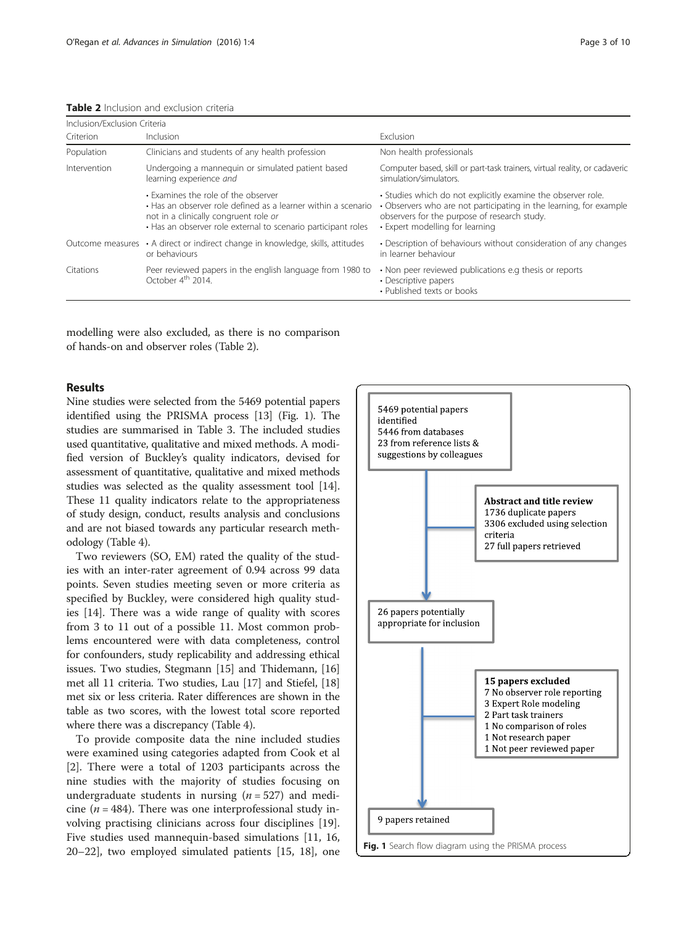<span id="page-2-0"></span>

| Inclusion/Exclusion Criteria |                                                                                                                                                                                                                |                                                                                                                                                                                                                       |  |  |
|------------------------------|----------------------------------------------------------------------------------------------------------------------------------------------------------------------------------------------------------------|-----------------------------------------------------------------------------------------------------------------------------------------------------------------------------------------------------------------------|--|--|
| Criterion                    | Inclusion                                                                                                                                                                                                      | Exclusion                                                                                                                                                                                                             |  |  |
| Population                   | Clinicians and students of any health profession                                                                                                                                                               | Non health professionals                                                                                                                                                                                              |  |  |
| Intervention                 | Undergoing a manneguin or simulated patient based<br>learning experience and                                                                                                                                   | Computer based, skill or part-task trainers, virtual reality, or cadaveric<br>simulation/simulators.                                                                                                                  |  |  |
|                              | • Examines the role of the observer<br>• Has an observer role defined as a learner within a scenario<br>not in a clinically congruent role or<br>· Has an observer role external to scenario participant roles | • Studies which do not explicitly examine the observer role.<br>• Observers who are not participating in the learning, for example<br>observers for the purpose of research study.<br>• Expert modelling for learning |  |  |
| Outcome measures             | • A direct or indirect change in knowledge, skills, attitudes<br>or behaviours                                                                                                                                 | • Description of behaviours without consideration of any changes<br>in learner behaviour                                                                                                                              |  |  |
| Citations                    | Peer reviewed papers in the english language from 1980 to<br>October 4 <sup>th</sup> 2014.                                                                                                                     | • Non peer reviewed publications e.g thesis or reports<br>• Descriptive papers<br>• Published texts or books                                                                                                          |  |  |

modelling were also excluded, as there is no comparison of hands-on and observer roles (Table 2).

#### Results

Nine studies were selected from the 5469 potential papers identified using the PRISMA process [\[13\]](#page-8-0) (Fig. 1). The studies are summarised in Table [3.](#page-3-0) The included studies used quantitative, qualitative and mixed methods. A modified version of Buckley's quality indicators, devised for assessment of quantitative, qualitative and mixed methods studies was selected as the quality assessment tool [[14](#page-8-0)]. These 11 quality indicators relate to the appropriateness of study design, conduct, results analysis and conclusions and are not biased towards any particular research methodology (Table [4](#page-5-0)).

Two reviewers (SO, EM) rated the quality of the studies with an inter-rater agreement of 0.94 across 99 data points. Seven studies meeting seven or more criteria as specified by Buckley, were considered high quality studies [[14](#page-8-0)]. There was a wide range of quality with scores from 3 to 11 out of a possible 11. Most common problems encountered were with data completeness, control for confounders, study replicability and addressing ethical issues. Two studies, Stegmann [[15](#page-8-0)] and Thidemann, [[16](#page-8-0)] met all 11 criteria. Two studies, Lau [[17](#page-8-0)] and Stiefel, [[18](#page-8-0)] met six or less criteria. Rater differences are shown in the table as two scores, with the lowest total score reported where there was a discrepancy (Table [4](#page-5-0)).

To provide composite data the nine included studies were examined using categories adapted from Cook et al [[2\]](#page-8-0). There were a total of 1203 participants across the nine studies with the majority of studies focusing on undergraduate students in nursing  $(n = 527)$  and medicine ( $n = 484$ ). There was one interprofessional study involving practising clinicians across four disciplines [\[19](#page-8-0)]. Five studies used mannequin-based simulations [[11, 16](#page-8-0), [20](#page-8-0)–[22](#page-8-0)], two employed simulated patients [[15](#page-8-0), [18\]](#page-8-0), one

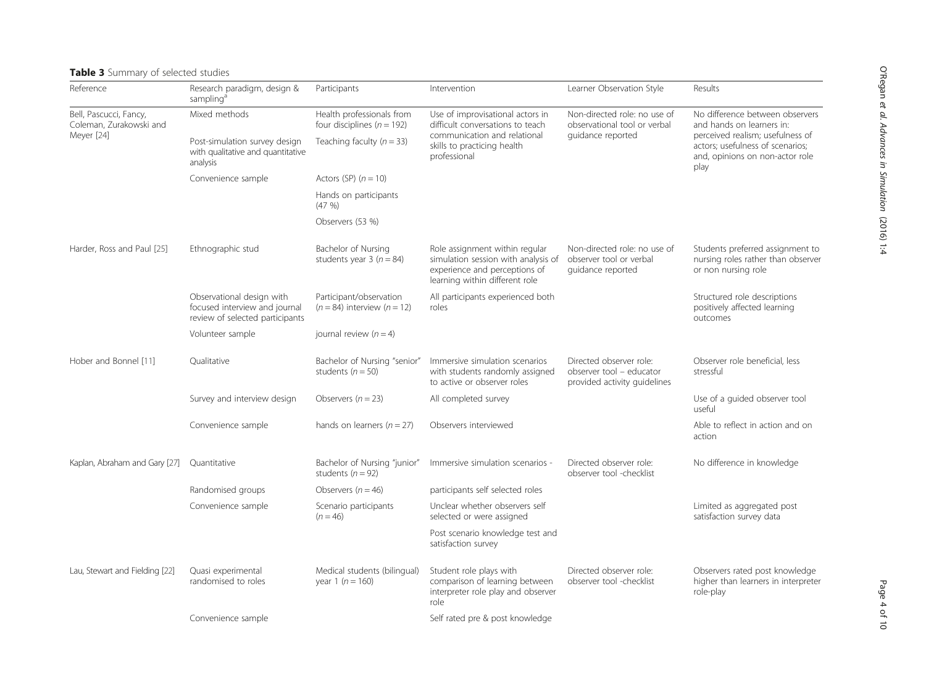# <span id="page-3-0"></span>Table 3 Summary of selected studies

| Reference                                                       | Research paradigm, design &<br>sampling <sup>a</sup>                                          | Participants                                                | Intervention                                                                                                                             | Learner Observation Style                                                           | Results                                                                                                         |  |  |
|-----------------------------------------------------------------|-----------------------------------------------------------------------------------------------|-------------------------------------------------------------|------------------------------------------------------------------------------------------------------------------------------------------|-------------------------------------------------------------------------------------|-----------------------------------------------------------------------------------------------------------------|--|--|
| Bell, Pascucci, Fancy,<br>Coleman, Zurakowski and<br>Meyer [24] | Mixed methods                                                                                 | Health professionals from<br>four disciplines ( $n = 192$ ) | Use of improvisational actors in<br>difficult conversations to teach                                                                     | Non-directed role: no use of<br>observational tool or verbal                        | No difference between observers<br>and hands on learners in:                                                    |  |  |
|                                                                 | Post-simulation survey design<br>with qualitative and quantitative<br>analysis                | Teaching faculty ( $n = 33$ )                               | communication and relational<br>skills to practicing health<br>professional                                                              | quidance reported                                                                   | perceived realism; usefulness of<br>actors; usefulness of scenarios;<br>and, opinions on non-actor role<br>play |  |  |
|                                                                 | Convenience sample                                                                            | Actors (SP) $(n = 10)$                                      |                                                                                                                                          |                                                                                     |                                                                                                                 |  |  |
|                                                                 |                                                                                               | Hands on participants<br>(47%)                              |                                                                                                                                          |                                                                                     |                                                                                                                 |  |  |
|                                                                 |                                                                                               | Observers (53 %)                                            |                                                                                                                                          |                                                                                     |                                                                                                                 |  |  |
| Harder, Ross and Paul [25]                                      | Ethnographic stud                                                                             | Bachelor of Nursing<br>students year 3 ( $n = 84$ )         | Role assignment within regular<br>simulation session with analysis of<br>experience and perceptions of<br>learning within different role | Non-directed role: no use of<br>observer tool or verbal<br>quidance reported        | Students preferred assignment to<br>nursing roles rather than observer<br>or non nursing role                   |  |  |
|                                                                 | Observational design with<br>focused interview and journal<br>review of selected participants | Participant/observation<br>$(n = 84)$ interview $(n = 12)$  | All participants experienced both<br>roles                                                                                               |                                                                                     | Structured role descriptions<br>positively affected learning<br>outcomes                                        |  |  |
|                                                                 | Volunteer sample                                                                              | journal review $(n = 4)$                                    |                                                                                                                                          |                                                                                     |                                                                                                                 |  |  |
| Hober and Bonnel [11]                                           | Qualitative                                                                                   | Bachelor of Nursing "senior"<br>students ( $n = 50$ )       | Immersive simulation scenarios<br>with students randomly assigned<br>to active or observer roles                                         | Directed observer role:<br>observer tool - educator<br>provided activity guidelines | Observer role beneficial, less<br>stressful                                                                     |  |  |
|                                                                 | Survey and interview design                                                                   | Observers $(n = 23)$                                        | All completed survey                                                                                                                     |                                                                                     | Use of a quided observer tool<br>useful                                                                         |  |  |
|                                                                 | Convenience sample                                                                            | hands on learners ( $n = 27$ )                              | Observers interviewed                                                                                                                    |                                                                                     | Able to reflect in action and on<br>action                                                                      |  |  |
| Kaplan, Abraham and Gary [27]                                   | Quantitative                                                                                  | Bachelor of Nursing "junior"<br>students ( $n = 92$ )       | Immersive simulation scenarios -                                                                                                         | Directed observer role:<br>observer tool -checklist                                 | No difference in knowledge                                                                                      |  |  |
|                                                                 | Randomised groups                                                                             | Observers $(n = 46)$                                        | participants self selected roles                                                                                                         |                                                                                     |                                                                                                                 |  |  |
|                                                                 | Convenience sample                                                                            | Scenario participants<br>$(n = 46)$                         | Unclear whether observers self<br>selected or were assigned                                                                              |                                                                                     | Limited as aggregated post<br>satisfaction survey data                                                          |  |  |
|                                                                 |                                                                                               |                                                             | Post scenario knowledge test and<br>satisfaction survey                                                                                  |                                                                                     |                                                                                                                 |  |  |
| Lau, Stewart and Fielding [22]                                  | Quasi experimental<br>randomised to roles                                                     | Medical students (bilingual)<br>year 1 ( $n = 160$ )        | Student role plays with<br>comparison of learning between<br>interpreter role play and observer<br>role                                  | Directed observer role:<br>observer tool -checklist                                 | Observers rated post knowledge<br>higher than learners in interpreter<br>role-play                              |  |  |
|                                                                 | Convenience sample                                                                            |                                                             | Self rated pre & post knowledge                                                                                                          |                                                                                     |                                                                                                                 |  |  |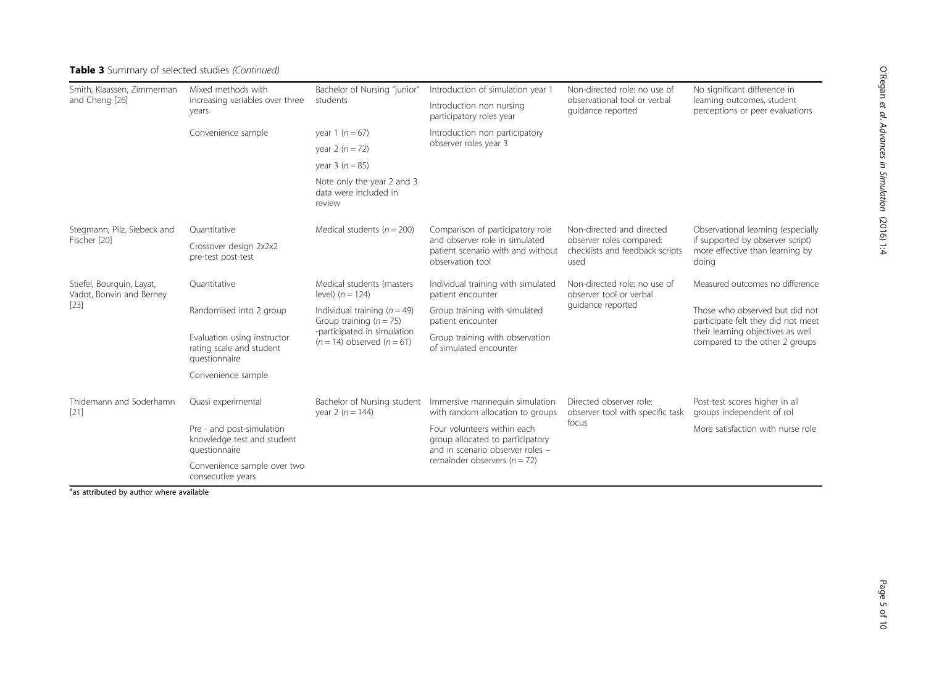|  |  |  |  | Table 3 Summary of selected studies (Continued) |
|--|--|--|--|-------------------------------------------------|
|--|--|--|--|-------------------------------------------------|

| Smith, Klaassen, Zimmerman                                      | Mixed methods with                                                       | Bachelor of Nursing "junior"                                  | Introduction of simulation year 1                                                                   | Non-directed role: no use of                                        | No significant difference in<br>learning outcomes, student<br>perceptions or peer evaluations                      |  |  |
|-----------------------------------------------------------------|--------------------------------------------------------------------------|---------------------------------------------------------------|-----------------------------------------------------------------------------------------------------|---------------------------------------------------------------------|--------------------------------------------------------------------------------------------------------------------|--|--|
| and Cheng [26]                                                  | increasing variables over three<br>years                                 | students                                                      | Introduction non nursing<br>participatory roles year                                                | observational tool or verbal<br>quidance reported                   |                                                                                                                    |  |  |
|                                                                 | Convenience sample                                                       | year 1 ( $n = 67$ )                                           | Introduction non participatory                                                                      |                                                                     |                                                                                                                    |  |  |
|                                                                 |                                                                          | year 2 $(n = 72)$                                             | observer roles year 3                                                                               |                                                                     |                                                                                                                    |  |  |
|                                                                 |                                                                          | year 3 ( $n = 85$ )                                           |                                                                                                     |                                                                     |                                                                                                                    |  |  |
|                                                                 |                                                                          | Note only the year 2 and 3<br>data were included in<br>review |                                                                                                     |                                                                     |                                                                                                                    |  |  |
| Stegmann, Pilz, Siebeck and                                     | Ouantitative                                                             | Medical students ( $n = 200$ )                                | Comparison of participatory role                                                                    | Non-directed and directed                                           | Observational learning (especially<br>if supported by observer script)<br>more effective than learning by<br>doing |  |  |
| Fischer [20]                                                    | Crossover design 2x2x2<br>pre-test post-test                             |                                                               | and observer role in simulated<br>patient scenario with and without<br>observation tool             | observer roles compared:<br>checklists and feedback scripts<br>used |                                                                                                                    |  |  |
| Stiefel, Bourguin, Layat,<br>Vadot, Bonvin and Berney<br>$[23]$ | Quantitative                                                             | Medical students (masters<br>level) $(n = 124)$               | Individual training with simulated<br>patient encounter                                             | Non-directed role: no use of<br>observer tool or verbal             | Measured outcomes no difference                                                                                    |  |  |
|                                                                 | Randomised into 2 group                                                  | Individual training $(n = 49)$<br>Group training $(n = 75)$   | Group training with simulated<br>patient encounter                                                  | quidance reported                                                   | Those who observed but did not<br>participate felt they did not meet                                               |  |  |
|                                                                 | Evaluation using instructor<br>rating scale and student<br>questionnaire | -participated in simulation<br>$(n = 14)$ observed $(n = 61)$ | Group training with observation<br>of simulated encounter                                           |                                                                     | their learning objectives as well<br>compared to the other 2 groups                                                |  |  |
|                                                                 | Convenience sample                                                       |                                                               |                                                                                                     |                                                                     |                                                                                                                    |  |  |
| Thidemann and Soderhamn<br>$[21]$                               | Quasi experimental                                                       | Bachelor of Nursing student<br>year 2 ( $n = 144$ )           | Immersive mannequin simulation<br>with random allocation to groups                                  | Directed observer role:<br>observer tool with specific task         | Post-test scores higher in all<br>groups independent of rol                                                        |  |  |
|                                                                 | Pre - and post-simulation<br>knowledge test and student<br>questionnaire |                                                               | Four volunteers within each<br>group allocated to participatory<br>and in scenario observer roles - | focus                                                               | More satisfaction with nurse role                                                                                  |  |  |
|                                                                 | Convenience sample over two<br>consecutive years                         |                                                               | remainder observers ( $n = 72$ )                                                                    |                                                                     |                                                                                                                    |  |  |

<sup>a</sup>as attributed by author where available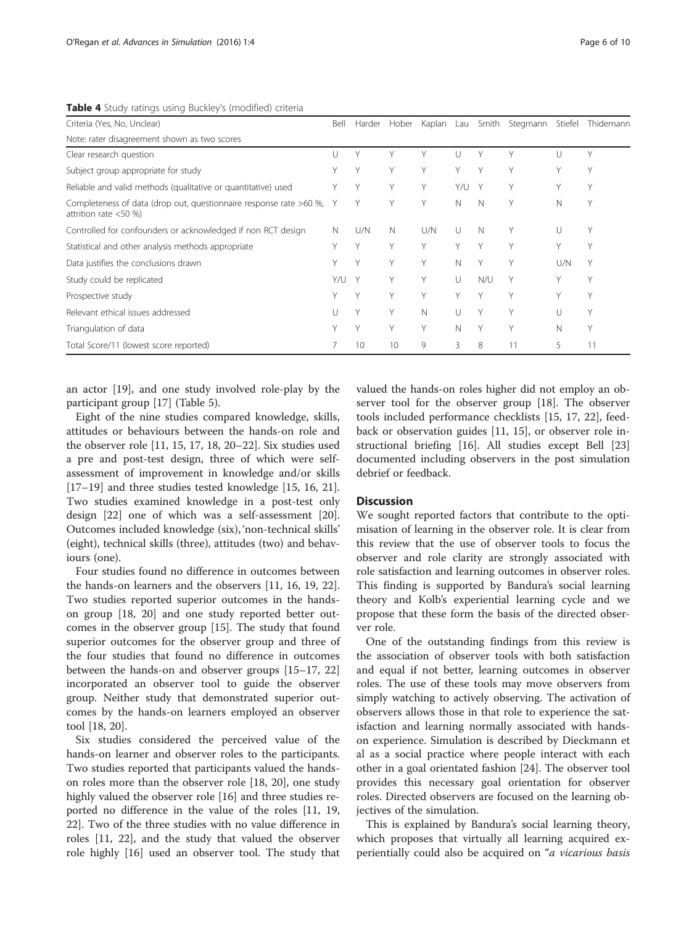| Criteria (Yes, No, Unclear)                                                                    | Bell | Harder | Hober | Kaplan | Lau          | Smith | Stegmann | Stiefel | Thidemann |
|------------------------------------------------------------------------------------------------|------|--------|-------|--------|--------------|-------|----------|---------|-----------|
| Note: rater disagreement shown as two scores                                                   |      |        |       |        |              |       |          |         |           |
| Clear research question                                                                        | U    | Υ      | Υ     | Υ      |              |       | Υ        | U       | Υ         |
| Subject group appropriate for study                                                            | Υ    | Y      | Υ     | Y      | Υ            |       | Υ        |         | Υ         |
| Reliable and valid methods (qualitative or quantitative) used                                  | ٧    | Υ      | Υ     | Y      | Y/U          | Y     | Υ        |         | Υ         |
| Completeness of data (drop out, questionnaire response rate >60 %,<br>attrition rate $<$ 50 %) | Y    | Υ      | Υ     | Y      | N            | N     | Υ        | Ν       | Υ         |
| Controlled for confounders or acknowledged if non RCT design                                   | N    | U/N    | N     | U/N    | U            | N     | Υ        |         | Υ         |
| Statistical and other analysis methods appropriate                                             | ٧    | Υ      | Y     | Υ      | Υ            |       | Υ        | $\vee$  | $\vee$    |
| Data justifies the conclusions drawn                                                           | γ    | Υ      | Y     | Υ      | $\mathsf{N}$ |       | Υ        | U/N     | Υ         |
| Study could be replicated                                                                      | Y/U  | Y      | Y     | Υ      | $\cup$       | N/U   | Υ        |         | Y         |
| Prospective study                                                                              | Υ    | Υ      | Y     | Υ      | Υ            |       | Υ        | ٧       | Υ         |
| Relevant ethical issues addressed                                                              |      | Y      | Y     | N      | U            | Υ     | Υ        |         | Υ         |
| Triangulation of data                                                                          | Υ    | Υ      | Υ     | Y      | N            | Υ     | Υ        | N       | Υ         |
| Total Score/11 (lowest score reported)                                                         |      | 10     | 10    | 9      | 3            | 8     | 11       | 5       | 11        |

<span id="page-5-0"></span>Table 4 Study ratings using Buckley's (modified) criteria

an actor [\[19](#page-8-0)], and one study involved role-play by the participant group [[17\]](#page-8-0) (Table [5](#page-6-0)).

Eight of the nine studies compared knowledge, skills, attitudes or behaviours between the hands-on role and the observer role [\[11, 15, 17, 18, 20](#page-8-0)–[22](#page-8-0)]. Six studies used a pre and post-test design, three of which were selfassessment of improvement in knowledge and/or skills [[17](#page-8-0)–[19](#page-8-0)] and three studies tested knowledge [[15](#page-8-0), [16, 21](#page-8-0)]. Two studies examined knowledge in a post-test only design [\[22](#page-8-0)] one of which was a self-assessment [\[20](#page-8-0)]. Outcomes included knowledge (six), 'non-technical skills' (eight), technical skills (three), attitudes (two) and behaviours (one).

Four studies found no difference in outcomes between the hands-on learners and the observers [[11, 16, 19, 22](#page-8-0)]. Two studies reported superior outcomes in the handson group [\[18, 20\]](#page-8-0) and one study reported better outcomes in the observer group [\[15](#page-8-0)]. The study that found superior outcomes for the observer group and three of the four studies that found no difference in outcomes between the hands-on and observer groups [[15](#page-8-0)–[17, 22](#page-8-0)] incorporated an observer tool to guide the observer group. Neither study that demonstrated superior outcomes by the hands-on learners employed an observer tool [[18, 20](#page-8-0)].

Six studies considered the perceived value of the hands-on learner and observer roles to the participants. Two studies reported that participants valued the handson roles more than the observer role [[18](#page-8-0), [20\]](#page-8-0), one study highly valued the observer role [[16\]](#page-8-0) and three studies reported no difference in the value of the roles [[11, 19](#page-8-0), [22\]](#page-8-0). Two of the three studies with no value difference in roles [\[11](#page-8-0), [22\]](#page-8-0), and the study that valued the observer role highly [[16](#page-8-0)] used an observer tool. The study that valued the hands-on roles higher did not employ an observer tool for the observer group [\[18](#page-8-0)]. The observer tools included performance checklists [\[15](#page-8-0), [17, 22](#page-8-0)], feedback or observation guides [[11, 15](#page-8-0)], or observer role instructional briefing [[16\]](#page-8-0). All studies except Bell [[23](#page-8-0)] documented including observers in the post simulation debrief or feedback.

# Discussion

We sought reported factors that contribute to the optimisation of learning in the observer role. It is clear from this review that the use of observer tools to focus the observer and role clarity are strongly associated with role satisfaction and learning outcomes in observer roles. This finding is supported by Bandura's social learning theory and Kolb's experiential learning cycle and we propose that these form the basis of the directed observer role.

One of the outstanding findings from this review is the association of observer tools with both satisfaction and equal if not better, learning outcomes in observer roles. The use of these tools may move observers from simply watching to actively observing. The activation of observers allows those in that role to experience the satisfaction and learning normally associated with handson experience. Simulation is described by Dieckmann et al as a social practice where people interact with each other in a goal orientated fashion [\[24](#page-8-0)]. The observer tool provides this necessary goal orientation for observer roles. Directed observers are focused on the learning objectives of the simulation.

This is explained by Bandura's social learning theory, which proposes that virtually all learning acquired experientially could also be acquired on "a vicarious basis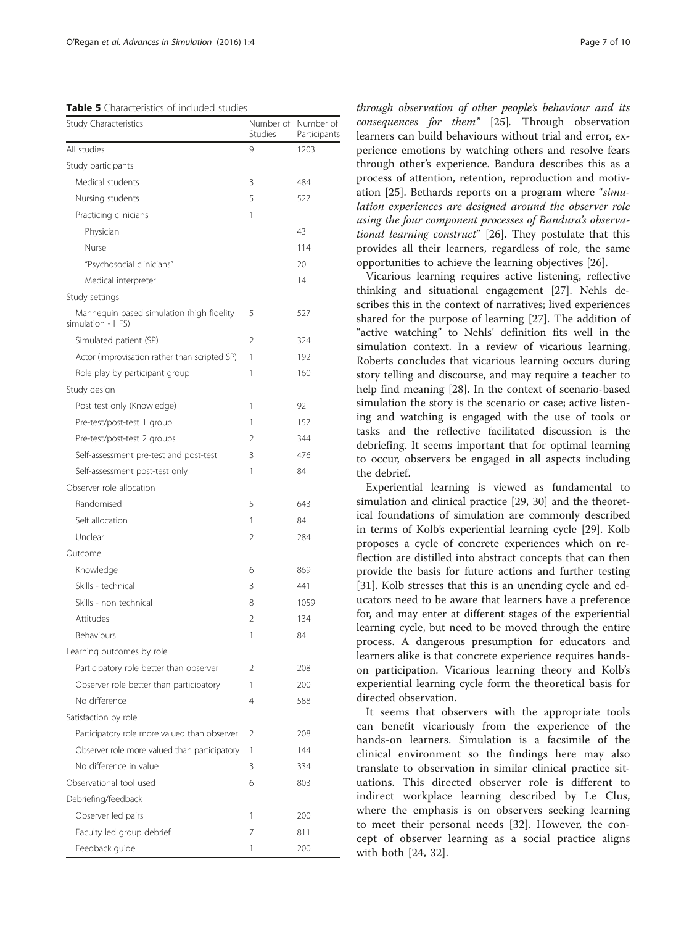<span id="page-6-0"></span>Table 5 Characteristics of included studies

| Study Characteristics                                          | <b>Studies</b> | Number of Number of<br>Participants |
|----------------------------------------------------------------|----------------|-------------------------------------|
| All studies                                                    | 9              | 1203                                |
| Study participants                                             |                |                                     |
| Medical students                                               | 3              | 484                                 |
| Nursing students                                               | 5              | 527                                 |
| Practicing clinicians                                          | 1              |                                     |
| Physician                                                      |                | 43                                  |
| Nurse                                                          |                | 114                                 |
| "Psychosocial clinicians"                                      |                | 20                                  |
| Medical interpreter                                            |                | 14                                  |
| Study settings                                                 |                |                                     |
| Mannequin based simulation (high fidelity<br>simulation - HFS) | 5              | 527                                 |
| Simulated patient (SP)                                         | 2              | 324                                 |
| Actor (improvisation rather than scripted SP)                  | 1              | 192                                 |
| Role play by participant group                                 | 1              | 160                                 |
| Study design                                                   |                |                                     |
| Post test only (Knowledge)                                     | 1              | 92                                  |
| Pre-test/post-test 1 group                                     | 1              | 157                                 |
| Pre-test/post-test 2 groups                                    | 2              | 344                                 |
| Self-assessment pre-test and post-test                         | 3              | 476                                 |
| Self-assessment post-test only                                 | 1              | 84                                  |
| Observer role allocation                                       |                |                                     |
| Randomised                                                     | 5              | 643                                 |
| Self allocation                                                | 1              | 84                                  |
| Unclear                                                        | 2              | 284                                 |
| Outcome                                                        |                |                                     |
| Knowledge                                                      | 6              | 869                                 |
| Skills - technical                                             | 3              | 441                                 |
| Skills - non technical                                         | 8              | 1059                                |
| Attitudes                                                      | 2              | 134                                 |
| Behaviours                                                     | 1              | 84                                  |
| Learning outcomes by role                                      |                |                                     |
| Participatory role better than observer                        | 2              | 208                                 |
| Observer role better than participatory                        | 1              | 200                                 |
| No difference                                                  | 4              | 588                                 |
| Satisfaction by role                                           |                |                                     |
| Participatory role more valued than observer                   | 2              | 208                                 |
| Observer role more valued than participatory                   | 1              | 144                                 |
| No difference in value                                         | 3              | 334                                 |
| Observational tool used                                        | 6              | 803                                 |
| Debriefing/feedback                                            |                |                                     |
| Observer led pairs                                             | 1              | 200                                 |
| Faculty led group debrief                                      | 7              | 811                                 |
| Feedback guide                                                 | 1              | 200                                 |

through observation of other people's behaviour and its consequences for them" [\[25\]](#page-8-0). Through observation learners can build behaviours without trial and error, experience emotions by watching others and resolve fears through other's experience. Bandura describes this as a process of attention, retention, reproduction and motivation [\[25\]](#page-8-0). Bethards reports on a program where "simulation experiences are designed around the observer role using the four component processes of Bandura's observa-tional learning construct" [\[26\]](#page-8-0). They postulate that this provides all their learners, regardless of role, the same opportunities to achieve the learning objectives [[26](#page-8-0)].

Vicarious learning requires active listening, reflective thinking and situational engagement [[27\]](#page-8-0). Nehls describes this in the context of narratives; lived experiences shared for the purpose of learning [[27\]](#page-8-0). The addition of "active watching" to Nehls' definition fits well in the simulation context. In a review of vicarious learning, Roberts concludes that vicarious learning occurs during story telling and discourse, and may require a teacher to help find meaning [\[28](#page-8-0)]. In the context of scenario-based simulation the story is the scenario or case; active listening and watching is engaged with the use of tools or tasks and the reflective facilitated discussion is the debriefing. It seems important that for optimal learning to occur, observers be engaged in all aspects including the debrief.

Experiential learning is viewed as fundamental to simulation and clinical practice [\[29, 30](#page-8-0)] and the theoretical foundations of simulation are commonly described in terms of Kolb's experiential learning cycle [\[29\]](#page-8-0). Kolb proposes a cycle of concrete experiences which on reflection are distilled into abstract concepts that can then provide the basis for future actions and further testing [[31\]](#page-9-0). Kolb stresses that this is an unending cycle and educators need to be aware that learners have a preference for, and may enter at different stages of the experiential learning cycle, but need to be moved through the entire process. A dangerous presumption for educators and learners alike is that concrete experience requires handson participation. Vicarious learning theory and Kolb's experiential learning cycle form the theoretical basis for directed observation.

It seems that observers with the appropriate tools can benefit vicariously from the experience of the hands-on learners. Simulation is a facsimile of the clinical environment so the findings here may also translate to observation in similar clinical practice situations. This directed observer role is different to indirect workplace learning described by Le Clus, where the emphasis is on observers seeking learning to meet their personal needs [\[32](#page-9-0)]. However, the concept of observer learning as a social practice aligns with both [\[24](#page-8-0), [32\]](#page-9-0).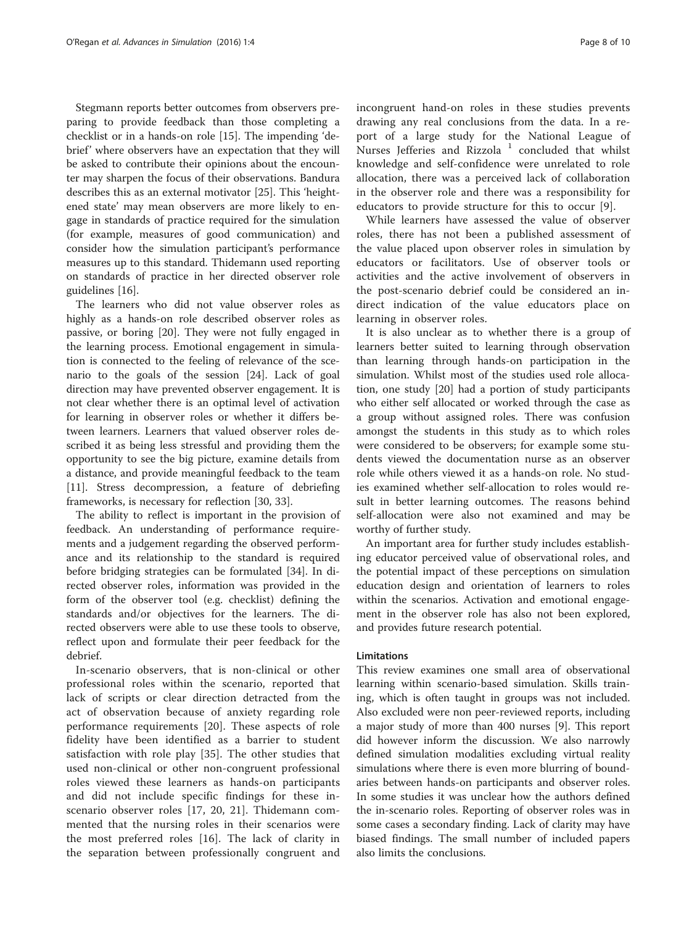Stegmann reports better outcomes from observers preparing to provide feedback than those completing a checklist or in a hands-on role [\[15](#page-8-0)]. The impending 'debrief' where observers have an expectation that they will be asked to contribute their opinions about the encounter may sharpen the focus of their observations. Bandura describes this as an external motivator [[25](#page-8-0)]. This 'heightened state' may mean observers are more likely to engage in standards of practice required for the simulation (for example, measures of good communication) and consider how the simulation participant's performance measures up to this standard. Thidemann used reporting on standards of practice in her directed observer role guidelines [[16](#page-8-0)].

The learners who did not value observer roles as highly as a hands-on role described observer roles as passive, or boring [\[20](#page-8-0)]. They were not fully engaged in the learning process. Emotional engagement in simulation is connected to the feeling of relevance of the scenario to the goals of the session [[24](#page-8-0)]. Lack of goal direction may have prevented observer engagement. It is not clear whether there is an optimal level of activation for learning in observer roles or whether it differs between learners. Learners that valued observer roles described it as being less stressful and providing them the opportunity to see the big picture, examine details from a distance, and provide meaningful feedback to the team [[11\]](#page-8-0). Stress decompression, a feature of debriefing frameworks, is necessary for reflection [\[30](#page-8-0), [33](#page-9-0)].

The ability to reflect is important in the provision of feedback. An understanding of performance requirements and a judgement regarding the observed performance and its relationship to the standard is required before bridging strategies can be formulated [\[34\]](#page-9-0). In directed observer roles, information was provided in the form of the observer tool (e.g. checklist) defining the standards and/or objectives for the learners. The directed observers were able to use these tools to observe, reflect upon and formulate their peer feedback for the debrief.

In-scenario observers, that is non-clinical or other professional roles within the scenario, reported that lack of scripts or clear direction detracted from the act of observation because of anxiety regarding role performance requirements [\[20](#page-8-0)]. These aspects of role fidelity have been identified as a barrier to student satisfaction with role play [[35\]](#page-9-0). The other studies that used non-clinical or other non-congruent professional roles viewed these learners as hands-on participants and did not include specific findings for these inscenario observer roles [\[17](#page-8-0), [20, 21\]](#page-8-0). Thidemann commented that the nursing roles in their scenarios were the most preferred roles [\[16](#page-8-0)]. The lack of clarity in the separation between professionally congruent and incongruent hand-on roles in these studies prevents drawing any real conclusions from the data. In a report of a large study for the National League of Nurses Jefferies and Rizzola<sup>1</sup> concluded that whilst knowledge and self-confidence were unrelated to role allocation, there was a perceived lack of collaboration in the observer role and there was a responsibility for educators to provide structure for this to occur [[9](#page-8-0)].

While learners have assessed the value of observer roles, there has not been a published assessment of the value placed upon observer roles in simulation by educators or facilitators. Use of observer tools or activities and the active involvement of observers in the post-scenario debrief could be considered an indirect indication of the value educators place on learning in observer roles.

It is also unclear as to whether there is a group of learners better suited to learning through observation than learning through hands-on participation in the simulation. Whilst most of the studies used role allocation, one study [[20\]](#page-8-0) had a portion of study participants who either self allocated or worked through the case as a group without assigned roles. There was confusion amongst the students in this study as to which roles were considered to be observers; for example some students viewed the documentation nurse as an observer role while others viewed it as a hands-on role. No studies examined whether self-allocation to roles would result in better learning outcomes. The reasons behind self-allocation were also not examined and may be worthy of further study.

An important area for further study includes establishing educator perceived value of observational roles, and the potential impact of these perceptions on simulation education design and orientation of learners to roles within the scenarios. Activation and emotional engagement in the observer role has also not been explored, and provides future research potential.

### Limitations

This review examines one small area of observational learning within scenario-based simulation. Skills training, which is often taught in groups was not included. Also excluded were non peer-reviewed reports, including a major study of more than 400 nurses [\[9](#page-8-0)]. This report did however inform the discussion. We also narrowly defined simulation modalities excluding virtual reality simulations where there is even more blurring of boundaries between hands-on participants and observer roles. In some studies it was unclear how the authors defined the in-scenario roles. Reporting of observer roles was in some cases a secondary finding. Lack of clarity may have biased findings. The small number of included papers also limits the conclusions.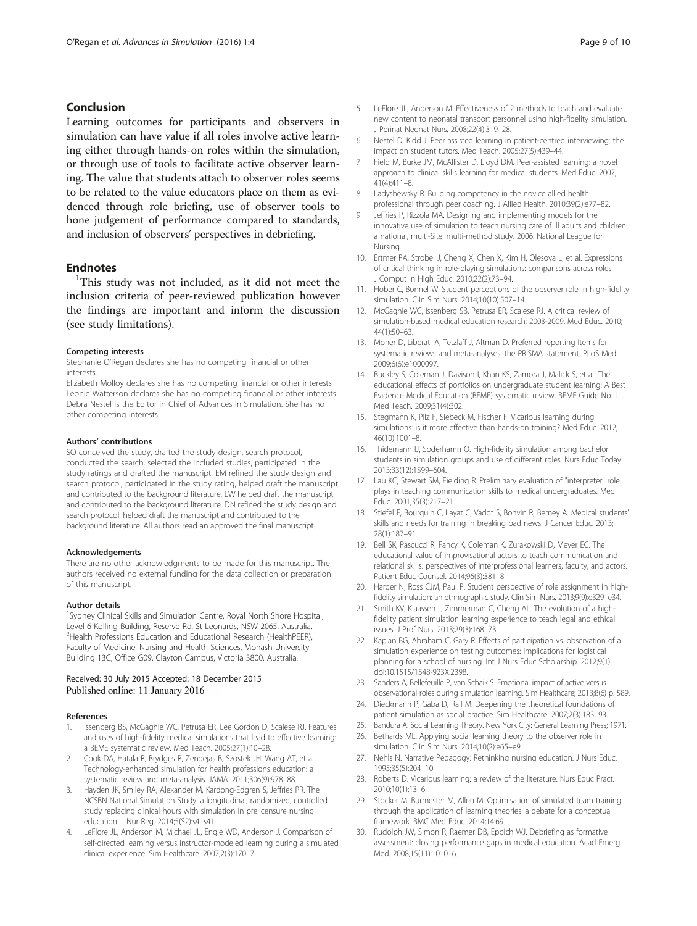## <span id="page-8-0"></span>Conclusion

Learning outcomes for participants and observers in simulation can have value if all roles involve active learning either through hands-on roles within the simulation, or through use of tools to facilitate active observer learning. The value that students attach to observer roles seems to be related to the value educators place on them as evidenced through role briefing, use of observer tools to hone judgement of performance compared to standards, and inclusion of observers' perspectives in debriefing.

#### **Endnotes**

<sup>1</sup>This study was not included, as it did not meet the inclusion criteria of peer-reviewed publication however the findings are important and inform the discussion (see study limitations).

#### Competing interests

Stephanie O'Regan declares she has no competing financial or other interests.

Elizabeth Molloy declares she has no competing financial or other interests Leonie Watterson declares she has no competing financial or other interests Debra Nestel is the Editor in Chief of Advances in Simulation. She has no other competing interests.

#### Authors' contributions

SO conceived the study, drafted the study design, search protocol, conducted the search, selected the included studies, participated in the study ratings and drafted the manuscript. EM refined the study design and search protocol, participated in the study rating, helped draft the manuscript and contributed to the background literature. LW helped draft the manuscript and contributed to the background literature. DN refined the study design and search protocol, helped draft the manuscript and contributed to the background literature. All authors read an approved the final manuscript.

#### Acknowledgements

There are no other acknowledgments to be made for this manuscript. The authors received no external funding for the data collection or preparation of this manuscript.

#### Author details

<sup>1</sup>Sydney Clinical Skills and Simulation Centre, Royal North Shore Hospital, Level 6 Kolling Building, Reserve Rd, St Leonards, NSW 2065, Australia. <sup>2</sup>Health Professions Education and Educational Research (HealthPEER), Faculty of Medicine, Nursing and Health Sciences, Monash University, Building 13C, Office G09, Clayton Campus, Victoria 3800, Australia.

#### Received: 30 July 2015 Accepted: 18 December 2015 Published online: 11 January 2016

#### References

- 1. Issenberg BS, McGaghie WC, Petrusa ER, Lee Gordon D, Scalese RJ. Features and uses of high-fidelity medical simulations that lead to effective learning: a BEME systematic review. Med Teach. 2005;27(1):10–28.
- 2. Cook DA, Hatala R, Brydges R, Zendejas B, Szostek JH, Wang AT, et al. Technology-enhanced simulation for health professions education: a systematic review and meta-analysis. JAMA. 2011;306(9):978–88.
- 3. Hayden JK, Smiley RA, Alexander M, Kardong-Edgren S, Jeffries PR. The NCSBN National Simulation Study: a longitudinal, randomized, controlled study replacing clinical hours with simulation in prelicensure nursing education. J Nur Reg. 2014;5(S2):s4–s41.
- 4. LeFlore JL, Anderson M, Michael JL, Engle WD, Anderson J. Comparison of self-directed learning versus instructor-modeled learning during a simulated clinical experience. Sim Healthcare. 2007;2(3):170–7.
- 5. LeFlore JL, Anderson M. Effectiveness of 2 methods to teach and evaluate new content to neonatal transport personnel using high-fidelity simulation. J Perinat Neonat Nurs. 2008;22(4):319–28.
- 6. Nestel D, Kidd J. Peer assisted learning in patient-centred interviewing: the impact on student tutors. Med Teach. 2005;27(5):439–44.
- 7. Field M, Burke JM, McAllister D, Lloyd DM. Peer-assisted learning: a novel approach to clinical skills learning for medical students. Med Educ. 2007; 41(4):411–8.
- 8. Ladyshewsky R. Building competency in the novice allied health professional through peer coaching. J Allied Health. 2010;39(2):e77–82.
- Jeffries P, Rizzola MA. Designing and implementing models for the innovative use of simulation to teach nursing care of ill adults and children: a national, multi-Site, multi-method study. 2006. National League for Nursing.
- 10. Ertmer PA, Strobel J, Cheng X, Chen X, Kim H, Olesova L, et al. Expressions of critical thinking in role-playing simulations: comparisons across roles. J Comput in High Educ. 2010;22(2):73–94.
- 11. Hober C, Bonnel W. Student perceptions of the observer role in high-fidelity simulation. Clin Sim Nurs. 2014;10(10):507–14.
- 12. McGaghie WC, Issenberg SB, Petrusa ER, Scalese RJ. A critical review of simulation-based medical education research: 2003-2009. Med Educ. 2010; 44(1):50–63.
- 13. Moher D, Liberati A, Tetzlaff J, Altman D. Preferred reporting Items for systematic reviews and meta-analyses: the PRISMA statement. PLoS Med. 2009;6(6):e1000097.
- 14. Buckley S, Coleman J, Davison I, Khan KS, Zamora J, Malick S, et al. The educational effects of portfolios on undergraduate student learning: A Best Evidence Medical Education (BEME) systematic review. BEME Guide No. 11. Med Teach. 2009;31(4):302.
- 15. Stegmann K, Pilz F, Siebeck M, Fischer F. Vicarious learning during simulations: is it more effective than hands-on training? Med Educ. 2012; 46(10):1001–8.
- 16. Thidemann IJ, Soderhamn O. High-fidelity simulation among bachelor students in simulation groups and use of different roles. Nurs Educ Today. 2013;33(12):1599–604.
- 17. Lau KC, Stewart SM, Fielding R. Preliminary evaluation of "interpreter" role plays in teaching communication skills to medical undergraduates. Med Educ. 2001;35(3):217–21.
- 18. Stiefel F, Bourquin C, Layat C, Vadot S, Bonvin R, Berney A. Medical students' skills and needs for training in breaking bad news. J Cancer Educ. 2013; 28(1):187–91.
- 19. Bell SK, Pascucci R, Fancy K, Coleman K, Zurakowski D, Meyer EC. The educational value of improvisational actors to teach communication and relational skills: perspectives of interprofessional learners, faculty, and actors. Patient Educ Counsel. 2014;96(3):381–8.
- 20. Harder N, Ross CJM, Paul P. Student perspective of role assignment in highfidelity simulation: an ethnographic study. Clin Sim Nurs. 2013;9(9):e329–e34.
- 21. Smith KV, Klaassen J, Zimmerman C, Cheng AL. The evolution of a highfidelity patient simulation learning experience to teach legal and ethical issues. J Prof Nurs. 2013;29(3):168–73.
- 22. Kaplan BG, Abraham C, Gary R. Effects of participation vs. observation of a simulation experience on testing outcomes: implications for logistical planning for a school of nursing. Int J Nurs Educ Scholarship. 2012;9(1) doi[:10.1515/1548-923X.2398.](http://dx.doi.org/10.1515/1548-923X.2398)
- 23. Sanders A, Bellefeuille P, van Schaik S. Emotional impact of active versus observational roles during simulation learning. Sim Healthcare; 2013;8(6) p. 589.
- 24. Dieckmann P, Gaba D, Rall M. Deepening the theoretical foundations of patient simulation as social practice. Sim Healthcare. 2007;2(3):183–93.
- 25. Bandura A. Social Learning Theory. New York City: General Learning Press; 1971.
- 26. Bethards ML. Applying social learning theory to the observer role in simulation. Clin Sim Nurs. 2014;10(2):e65–e9.
- 27. Nehls N. Narrative Pedagogy: Rethinking nursing education. J Nurs Educ. 1995;35(5):204–10.
- 28. Roberts D. Vicarious learning: a review of the literature. Nurs Educ Pract. 2010;10(1):13–6.
- 29. Stocker M, Burmester M, Allen M. Optimisation of simulated team training through the application of learning theories: a debate for a conceptual framework. BMC Med Educ. 2014;14:69.
- 30. Rudolph JW, Simon R, Raemer DB, Eppich WJ. Debriefing as formative assessment: closing performance gaps in medical education. Acad Emerg Med. 2008;15(11):1010–6.